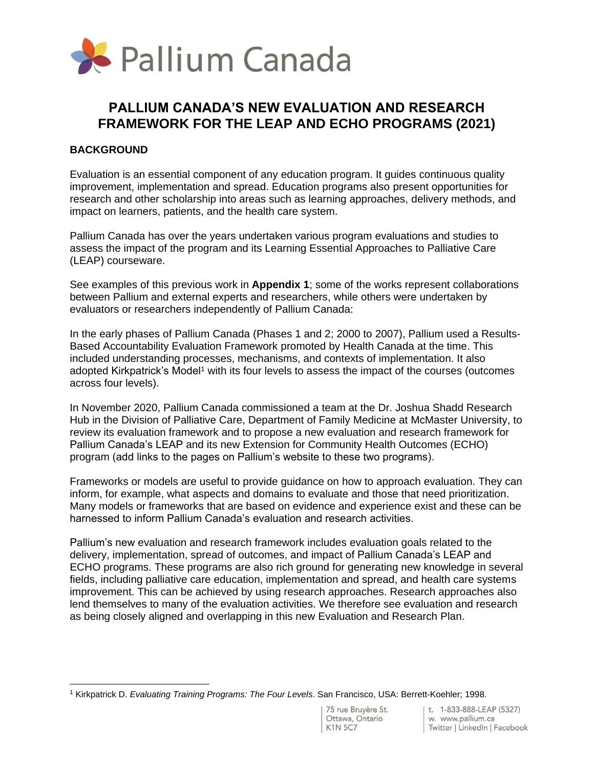

## **PALLIUM CANADA'S NEW EVALUATION AND RESEARCH FRAMEWORK FOR THE LEAP AND ECHO PROGRAMS (2021)**

## **BACKGROUND**

Evaluation is an essential component of any education program. It guides continuous quality improvement, implementation and spread. Education programs also present opportunities for research and other scholarship into areas such as learning approaches, delivery methods, and impact on learners, patients, and the health care system.

Pallium Canada has over the years undertaken various program evaluations and studies to assess the impact of the program and its Learning Essential Approaches to Palliative Care (LEAP) courseware.

See examples of this previous work in **Appendix 1**; some of the works represent collaborations between Pallium and external experts and researchers, while others were undertaken by evaluators or researchers independently of Pallium Canada:

In the early phases of Pallium Canada (Phases 1 and 2; 2000 to 2007), Pallium used a Results-Based Accountability Evaluation Framework promoted by Health Canada at the time. This included understanding processes, mechanisms, and contexts of implementation. It also adopted Kirkpatrick's Model<sup>1</sup> with its four levels to assess the impact of the courses (outcomes across four levels).

In November 2020, Pallium Canada commissioned a team at the Dr. Joshua Shadd Research Hub in the Division of Palliative Care, Department of Family Medicine at McMaster University, to review its evaluation framework and to propose a new evaluation and research framework for Pallium Canada's LEAP and its new Extension for Community Health Outcomes (ECHO) program (add links to the pages on Pallium's website to these two programs).

Frameworks or models are useful to provide guidance on how to approach evaluation. They can inform, for example, what aspects and domains to evaluate and those that need prioritization. Many models or frameworks that are based on evidence and experience exist and these can be harnessed to inform Pallium Canada's evaluation and research activities.

Pallium's new evaluation and research framework includes evaluation goals related to the delivery, implementation, spread of outcomes, and impact of Pallium Canada's LEAP and ECHO programs. These programs are also rich ground for generating new knowledge in several fields, including palliative care education, implementation and spread, and health care systems improvement. This can be achieved by using research approaches. Research approaches also lend themselves to many of the evaluation activities. We therefore see evaluation and research as being closely aligned and overlapping in this new Evaluation and Research Plan.

<sup>1</sup> Kirkpatrick D. *Evaluating Training Programs: The Four Levels*. San Francisco, USA: Berrett-Koehler; 1998.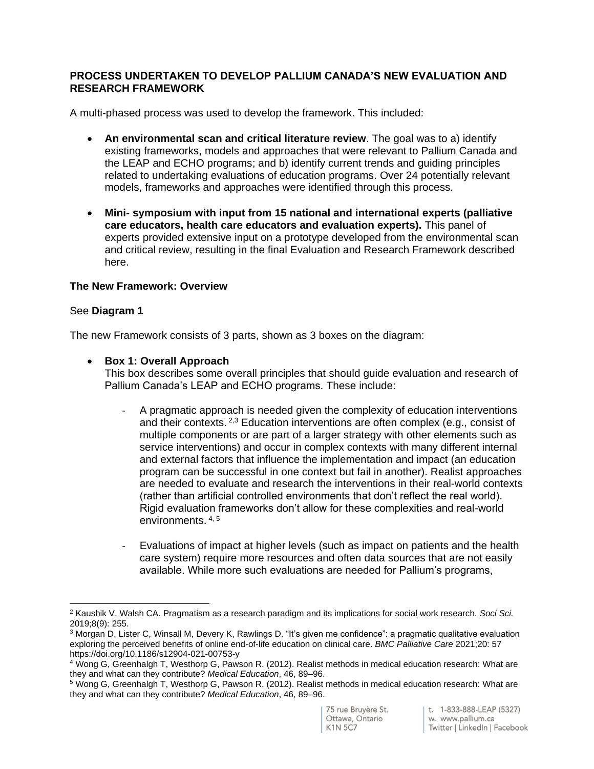#### **PROCESS UNDERTAKEN TO DEVELOP PALLIUM CANADA'S NEW EVALUATION AND RESEARCH FRAMEWORK**

A multi-phased process was used to develop the framework. This included:

- **An environmental scan and critical literature review**. The goal was to a) identify existing frameworks, models and approaches that were relevant to Pallium Canada and the LEAP and ECHO programs; and b) identify current trends and guiding principles related to undertaking evaluations of education programs. Over 24 potentially relevant models, frameworks and approaches were identified through this process.
- **Mini- symposium with input from 15 national and international experts (palliative care educators, health care educators and evaluation experts).** This panel of experts provided extensive input on a prototype developed from the environmental scan and critical review, resulting in the final Evaluation and Research Framework described here.

#### **The New Framework: Overview**

#### See **Diagram 1**

The new Framework consists of 3 parts, shown as 3 boxes on the diagram:

• **Box 1: Overall Approach**

This box describes some overall principles that should guide evaluation and research of Pallium Canada's LEAP and ECHO programs. These include:

- A pragmatic approach is needed given the complexity of education interventions and their contexts.  $2.3$  Education interventions are often complex (e.g., consist of multiple components or are part of a larger strategy with other elements such as service interventions) and occur in complex contexts with many different internal and external factors that influence the implementation and impact (an education program can be successful in one context but fail in another). Realist approaches are needed to evaluate and research the interventions in their real-world contexts (rather than artificial controlled environments that don't reflect the real world). Rigid evaluation frameworks don't allow for these complexities and real-world environments. 4, <sup>5</sup>
- Evaluations of impact at higher levels (such as impact on patients and the health care system) require more resources and often data sources that are not easily available. While more such evaluations are needed for Pallium's programs,

<sup>2</sup> Kaushik V, Walsh CA. Pragmatism as a research paradigm and its implications for social work research. *Soci Sci.* 2019;8(9): 255.

<sup>3</sup> Morgan D, Lister C, Winsall M, Devery K, Rawlings D. "It's given me confidence": a pragmatic qualitative evaluation exploring the perceived benefits of online end‐of‐life education on clinical care. *BMC Palliative Care* 2021;20: 57 https://doi.org/10.1186/s12904-021-00753-y

<sup>4</sup> Wong G, Greenhalgh T, Westhorp G, Pawson R. (2012). Realist methods in medical education research: What are they and what can they contribute? *Medical Education*, 46, 89–96.

<sup>5</sup> Wong G, Greenhalgh T, Westhorp G, Pawson R. (2012). Realist methods in medical education research: What are they and what can they contribute? *Medical Education*, 46, 89–96.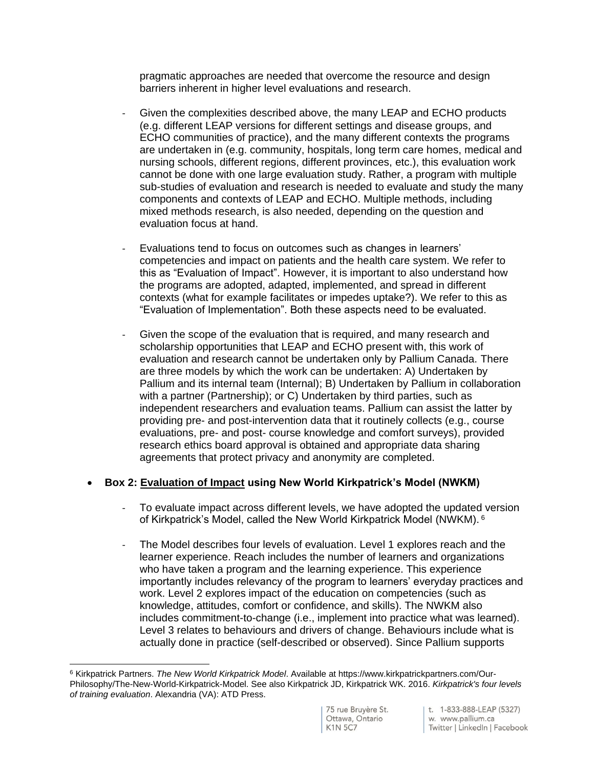pragmatic approaches are needed that overcome the resource and design barriers inherent in higher level evaluations and research.

- Given the complexities described above, the many LEAP and ECHO products (e.g. different LEAP versions for different settings and disease groups, and ECHO communities of practice), and the many different contexts the programs are undertaken in (e.g. community, hospitals, long term care homes, medical and nursing schools, different regions, different provinces, etc.), this evaluation work cannot be done with one large evaluation study. Rather, a program with multiple sub-studies of evaluation and research is needed to evaluate and study the many components and contexts of LEAP and ECHO. Multiple methods, including mixed methods research, is also needed, depending on the question and evaluation focus at hand.
- Evaluations tend to focus on outcomes such as changes in learners' competencies and impact on patients and the health care system. We refer to this as "Evaluation of Impact". However, it is important to also understand how the programs are adopted, adapted, implemented, and spread in different contexts (what for example facilitates or impedes uptake?). We refer to this as "Evaluation of Implementation". Both these aspects need to be evaluated.
- Given the scope of the evaluation that is required, and many research and scholarship opportunities that LEAP and ECHO present with, this work of evaluation and research cannot be undertaken only by Pallium Canada. There are three models by which the work can be undertaken: A) Undertaken by Pallium and its internal team (Internal); B) Undertaken by Pallium in collaboration with a partner (Partnership); or C) Undertaken by third parties, such as independent researchers and evaluation teams. Pallium can assist the latter by providing pre- and post-intervention data that it routinely collects (e.g., course evaluations, pre- and post- course knowledge and comfort surveys), provided research ethics board approval is obtained and appropriate data sharing agreements that protect privacy and anonymity are completed.

## • **Box 2: Evaluation of Impact using New World Kirkpatrick's Model (NWKM)**

- To evaluate impact across different levels, we have adopted the updated version of Kirkpatrick's Model, called the New World Kirkpatrick Model (NWKM). 6
- The Model describes four levels of evaluation. Level 1 explores reach and the learner experience. Reach includes the number of learners and organizations who have taken a program and the learning experience. This experience importantly includes relevancy of the program to learners' everyday practices and work. Level 2 explores impact of the education on competencies (such as knowledge, attitudes, comfort or confidence, and skills). The NWKM also includes commitment-to-change (i.e., implement into practice what was learned). Level 3 relates to behaviours and drivers of change. Behaviours include what is actually done in practice (self-described or observed). Since Pallium supports

<sup>6</sup> Kirkpatrick Partners. *The New World Kirkpatrick Model*. Available at https://www.kirkpatrickpartners.com/Our-Philosophy/The-New-World-Kirkpatrick-Model. See also Kirkpatrick JD, Kirkpatrick WK. 2016. *Kirkpatrick's four levels of training evaluation*. Alexandria (VA): ATD Press.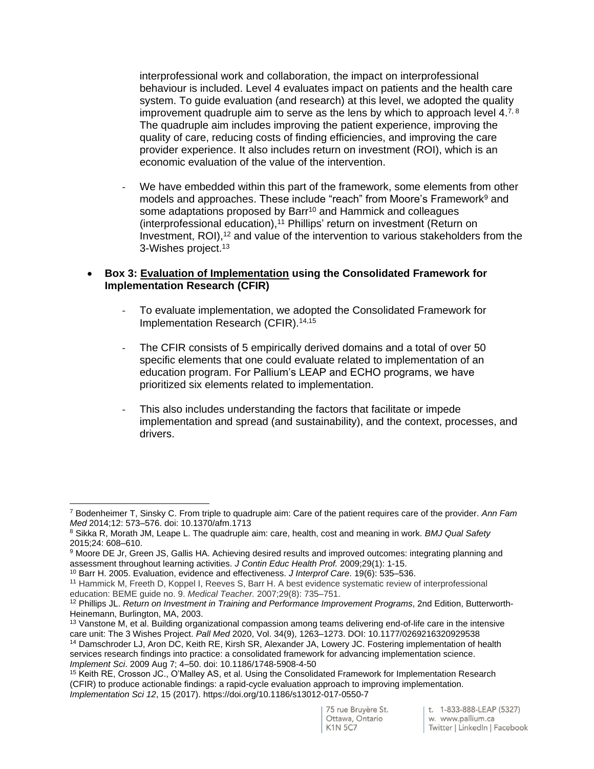interprofessional work and collaboration, the impact on interprofessional behaviour is included. Level 4 evaluates impact on patients and the health care system. To guide evaluation (and research) at this level, we adopted the quality improvement quadruple aim to serve as the lens by which to approach level  $4^{7,8}$ The quadruple aim includes improving the patient experience, improving the quality of care, reducing costs of finding efficiencies, and improving the care provider experience. It also includes return on investment (ROI), which is an economic evaluation of the value of the intervention.

We have embedded within this part of the framework, some elements from other models and approaches. These include "reach" from Moore's Framework<sup>9</sup> and some adaptations proposed by Barr<sup>10</sup> and Hammick and colleagues (interprofessional education),<sup>11</sup> Phillips' return on investment (Return on Investment, ROI), <sup>12</sup> and value of the intervention to various stakeholders from the 3-Wishes project.<sup>13</sup>

#### • **Box 3: Evaluation of Implementation using the Consolidated Framework for Implementation Research (CFIR)**

- To evaluate implementation, we adopted the Consolidated Framework for Implementation Research (CFIR).14,15
- The CFIR consists of 5 empirically derived domains and a total of over 50 specific elements that one could evaluate related to implementation of an education program. For Pallium's LEAP and ECHO programs, we have prioritized six elements related to implementation.
- This also includes understanding the factors that facilitate or impede implementation and spread (and sustainability), and the context, processes, and drivers.

<sup>7</sup> Bodenheimer T, Sinsky C. From triple to quadruple aim: Care of the patient requires care of the provider. *Ann Fam Med* 2014;12: 573–576. doi: 10.1370/afm.1713

<sup>8</sup> Sikka R, Morath JM, Leape L. The quadruple aim: care, health, cost and meaning in work. *BMJ Qual Safety* 2015;24: 608–610.

<sup>9</sup> Moore DE Jr, Green JS, Gallis HA. Achieving desired results and improved outcomes: integrating planning and assessment throughout learning activities. *J Contin Educ Health Prof.* 2009;29(1): 1-15.

<sup>10</sup> Barr H. 2005. Evaluation, evidence and effectiveness. *J Interprof Care*. 19(6): 535–536.

<sup>11</sup> Hammick M, Freeth D, Koppel I, Reeves S, Barr H. A best evidence systematic review of interprofessional education: BEME guide no. 9. *Medical Teacher.* 2007;29(8): 735–751.

<sup>12</sup> Phillips JL. *Return on Investment in Training and Performance Improvement Programs*, 2nd Edition, Butterworth-Heinemann, Burlington, MA, 2003.

<sup>&</sup>lt;sup>13</sup> Vanstone M, et al. Building organizational compassion among teams delivering end-of-life care in the intensive care unit: The 3 Wishes Project. *Pall Med* 2020, Vol. 34(9), 1263–1273. DOI: 10.1177/0269216320929538 <sup>14</sup> Damschroder LJ, Aron DC, Keith RE, Kirsh SR, Alexander JA, Lowery JC. Fostering implementation of health services research findings into practice: a consolidated framework for advancing implementation science. *Implement Sci*. 2009 Aug 7; 4–50. doi: 10.1186/1748-5908-4-50

<sup>15</sup> Keith RE, Crosson JC., O'Malley AS, et al. Using the Consolidated Framework for Implementation Research (CFIR) to produce actionable findings: a rapid-cycle evaluation approach to improving implementation. *Implementation Sci 12*, 15 (2017). https://doi.org/10.1186/s13012-017-0550-7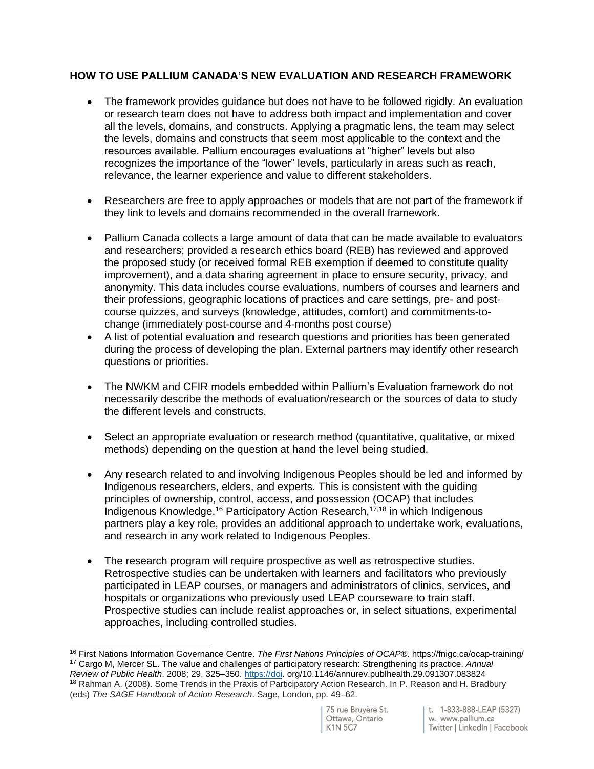### **HOW TO USE PALLIUM CANADA'S NEW EVALUATION AND RESEARCH FRAMEWORK**

- The framework provides guidance but does not have to be followed rigidly. An evaluation or research team does not have to address both impact and implementation and cover all the levels, domains, and constructs. Applying a pragmatic lens, the team may select the levels, domains and constructs that seem most applicable to the context and the resources available. Pallium encourages evaluations at "higher" levels but also recognizes the importance of the "lower" levels, particularly in areas such as reach, relevance, the learner experience and value to different stakeholders.
- Researchers are free to apply approaches or models that are not part of the framework if they link to levels and domains recommended in the overall framework.
- Pallium Canada collects a large amount of data that can be made available to evaluators and researchers; provided a research ethics board (REB) has reviewed and approved the proposed study (or received formal REB exemption if deemed to constitute quality improvement), and a data sharing agreement in place to ensure security, privacy, and anonymity. This data includes course evaluations, numbers of courses and learners and their professions, geographic locations of practices and care settings, pre- and postcourse quizzes, and surveys (knowledge, attitudes, comfort) and commitments-tochange (immediately post-course and 4-months post course)
- A list of potential evaluation and research questions and priorities has been generated during the process of developing the plan. External partners may identify other research questions or priorities.
- The NWKM and CFIR models embedded within Pallium's Evaluation framework do not necessarily describe the methods of evaluation/research or the sources of data to study the different levels and constructs.
- Select an appropriate evaluation or research method (quantitative, qualitative, or mixed methods) depending on the question at hand the level being studied.
- Any research related to and involving Indigenous Peoples should be led and informed by Indigenous researchers, elders, and experts. This is consistent with the guiding principles of ownership, control, access, and possession (OCAP) that includes Indigenous Knowledge.<sup>16</sup> Participatory Action Research,17,18 in which Indigenous partners play a key role, provides an additional approach to undertake work, evaluations, and research in any work related to Indigenous Peoples.
- The research program will require prospective as well as retrospective studies. Retrospective studies can be undertaken with learners and facilitators who previously participated in LEAP courses, or managers and administrators of clinics, services, and hospitals or organizations who previously used LEAP courseware to train staff. Prospective studies can include realist approaches or, in select situations, experimental approaches, including controlled studies.

<sup>16</sup> First Nations Information Governance Centre. *The First Nations Principles of OCAP®*. https://fnigc.ca/ocap-training/ <sup>17</sup> Cargo M, Mercer SL. The value and challenges of participatory research: Strengthening its practice. *Annual Review of Public Health*. 2008; 29, 325–350. [https://doi.](https://doi/) org/10.1146/annurev.publhealth.29.091307.083824 <sup>18</sup> Rahman A. (2008). Some Trends in the Praxis of Participatory Action Research. In P. Reason and H. Bradbury

<sup>(</sup>eds) *The SAGE Handbook of Action Research*. Sage, London, pp. 49–62.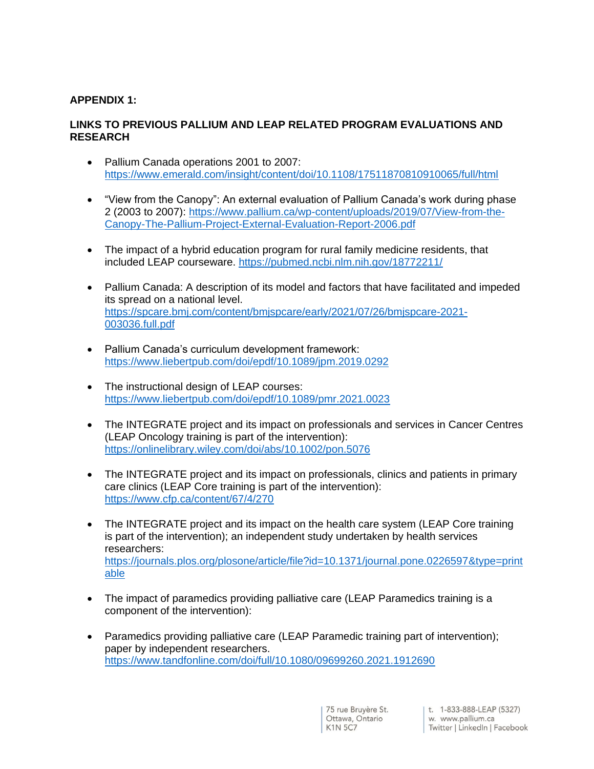## **APPENDIX 1:**

## **LINKS TO PREVIOUS PALLIUM AND LEAP RELATED PROGRAM EVALUATIONS AND RESEARCH**

- Pallium Canada operations 2001 to 2007: <https://www.emerald.com/insight/content/doi/10.1108/17511870810910065/full/html>
- "View from the Canopy": An external evaluation of Pallium Canada's work during phase 2 (2003 to 2007): [https://www.pallium.ca/wp-content/uploads/2019/07/View-from-the-](https://www.pallium.ca/wp-content/uploads/2019/07/View-from-the-Canopy-The-Pallium-Project-External-Evaluation-Report-2006.pdf)[Canopy-The-Pallium-Project-External-Evaluation-Report-2006.pdf](https://www.pallium.ca/wp-content/uploads/2019/07/View-from-the-Canopy-The-Pallium-Project-External-Evaluation-Report-2006.pdf)
- The impact of a hybrid education program for rural family medicine residents, that included LEAP courseware.<https://pubmed.ncbi.nlm.nih.gov/18772211/>
- Pallium Canada: A description of its model and factors that have facilitated and impeded its spread on a national level. [https://spcare.bmj.com/content/bmjspcare/early/2021/07/26/bmjspcare-2021-](https://spcare.bmj.com/content/bmjspcare/early/2021/07/26/bmjspcare-2021-003036.full.pdf) [003036.full.pdf](https://spcare.bmj.com/content/bmjspcare/early/2021/07/26/bmjspcare-2021-003036.full.pdf)
- Pallium Canada's curriculum development framework: <https://www.liebertpub.com/doi/epdf/10.1089/jpm.2019.0292>
- The instructional design of LEAP courses: <https://www.liebertpub.com/doi/epdf/10.1089/pmr.2021.0023>
- The INTEGRATE project and its impact on professionals and services in Cancer Centres (LEAP Oncology training is part of the intervention): <https://onlinelibrary.wiley.com/doi/abs/10.1002/pon.5076>
- The INTEGRATE project and its impact on professionals, clinics and patients in primary care clinics (LEAP Core training is part of the intervention): <https://www.cfp.ca/content/67/4/270>
- The INTEGRATE project and its impact on the health care system (LEAP Core training is part of the intervention); an independent study undertaken by health services researchers: [https://journals.plos.org/plosone/article/file?id=10.1371/journal.pone.0226597&type=print](https://journals.plos.org/plosone/article/file?id=10.1371/journal.pone.0226597&type=printable) [able](https://journals.plos.org/plosone/article/file?id=10.1371/journal.pone.0226597&type=printable)
- The impact of paramedics providing palliative care (LEAP Paramedics training is a component of the intervention):
- Paramedics providing palliative care (LEAP Paramedic training part of intervention); paper by independent researchers. <https://www.tandfonline.com/doi/full/10.1080/09699260.2021.1912690>